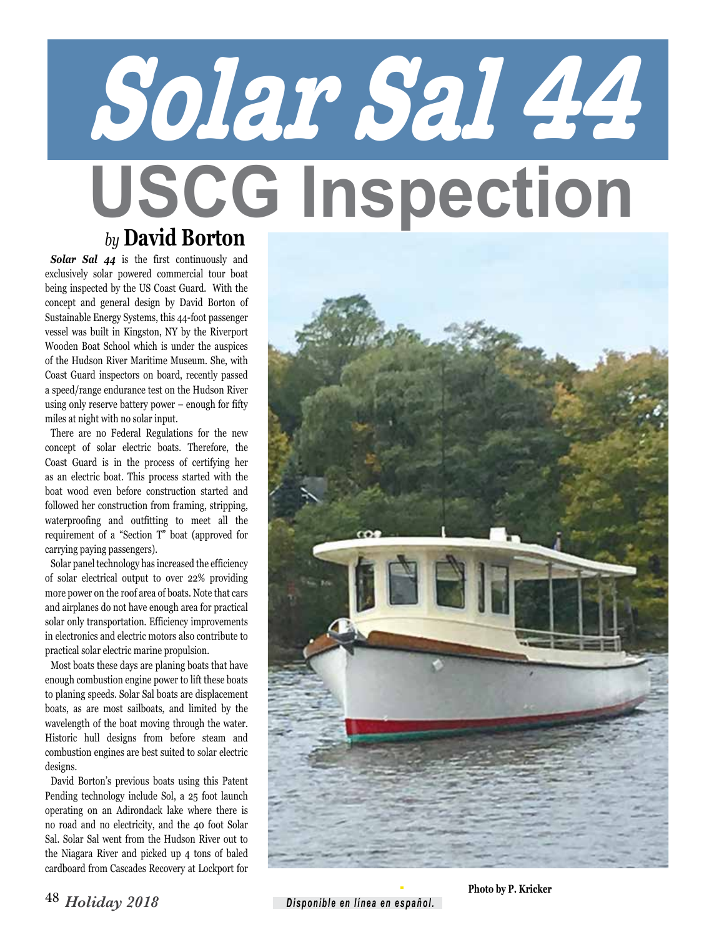## **Solar Sal 44 USCG Inspection** *by* **David Borton**

*Solar Sal 44* is the first continuously and exclusively solar powered commercial tour boat being inspected by the US Coast Guard. With the concept and general design by David Borton of Sustainable Energy Systems, this 44-foot passenger vessel was built in Kingston, NY by the Riverport Wooden Boat School which is under the auspices of the Hudson River Maritime Museum. She, with Coast Guard inspectors on board, recently passed a speed/range endurance test on the Hudson River using only reserve battery power – enough for fifty miles at night with no solar input.

There are no Federal Regulations for the new concept of solar electric boats. Therefore, the Coast Guard is in the process of certifying her as an electric boat. This process started with the boat wood even before construction started and followed her construction from framing, stripping, waterproofing and outfitting to meet all the requirement of a "Section T" boat (approved for carrying paying passengers).

Solar panel technology has increased the efficiency of solar electrical output to over 22% providing more power on the roof area of boats. Note that cars and airplanes do not have enough area for practical solar only transportation. Efficiency improvements in electronics and electric motors also contribute to practical solar electric marine propulsion.

Most boats these days are planing boats that have enough combustion engine power to lift these boats to planing speeds. Solar Sal boats are displacement boats, as are most sailboats, and limited by the wavelength of the boat moving through the water. Historic hull designs from before steam and combustion engines are best suited to solar electric designs.

David Borton's previous boats using this Patent Pending technology include Sol, a 25 foot launch operating on an Adirondack lake where there is no road and no electricity, and the 40 foot Solar Sal. Solar Sal went from the Hudson River out to the Niagara River and picked up 4 tons of baled cardboard from Cascades Recovery at Lockport for



**Photo by P. Kricker**